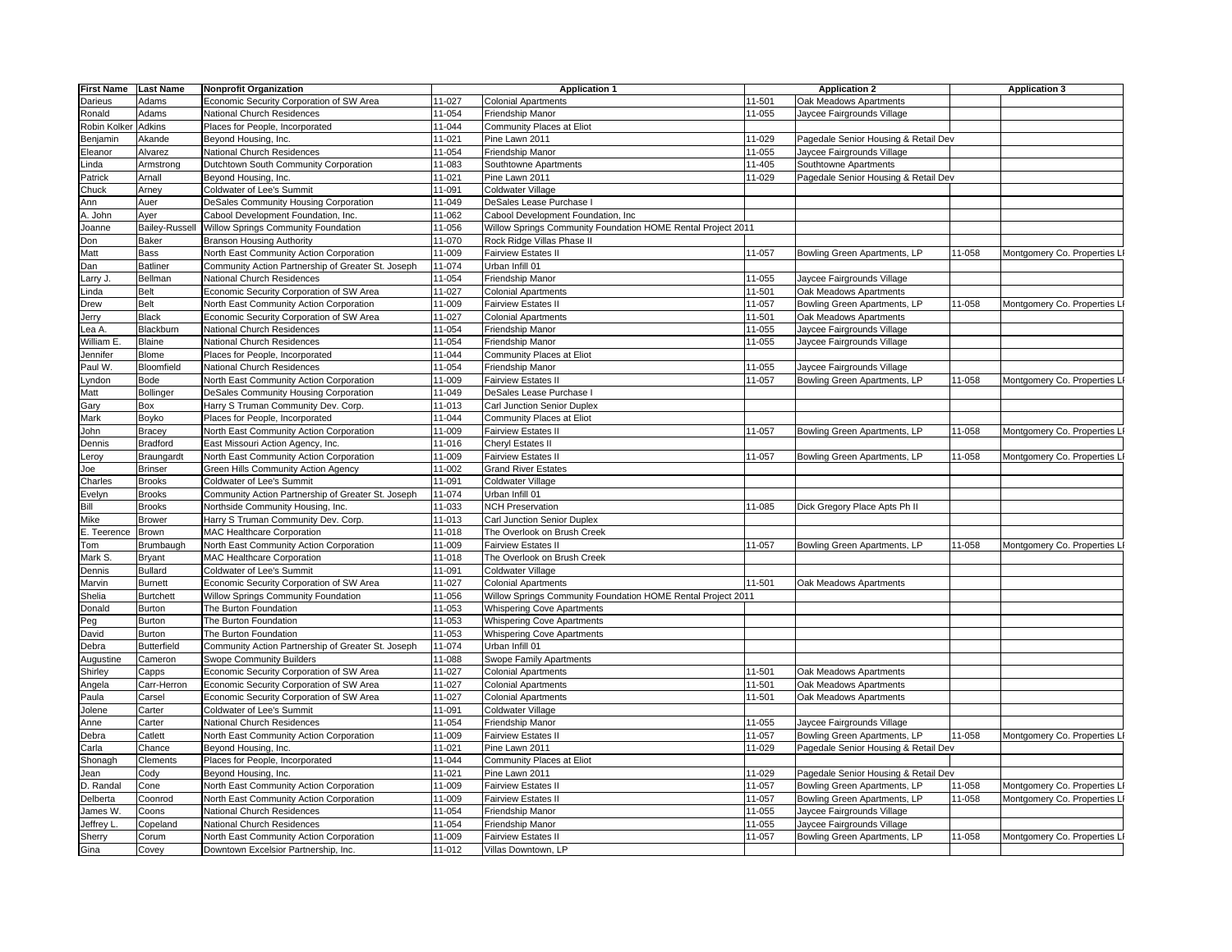| <b>First Name</b> | <b>Last Name</b> | <b>Nonprofit Organization</b>                      |        | <b>Application 1</b>                                         | <b>Application 2</b> |                                      | <b>Application 3</b> |                              |
|-------------------|------------------|----------------------------------------------------|--------|--------------------------------------------------------------|----------------------|--------------------------------------|----------------------|------------------------------|
| Darieus           | Adams            | Economic Security Corporation of SW Area           | 11-027 | <b>Colonial Apartments</b>                                   | 11-501               | Oak Meadows Apartments               |                      |                              |
| Ronald            | Adams            | National Church Residences                         | 11-054 | Friendship Manor                                             | 11-055               | Jaycee Fairgrounds Village           |                      |                              |
| Robin Kolker      | Adkins           | Places for People, Incorporated                    | 11-044 | Community Places at Eliot                                    |                      |                                      |                      |                              |
| Benjamin          | Akande           | Beyond Housing, Inc.                               | 11-021 | Pine Lawn 2011                                               | 11-029               | Pagedale Senior Housing & Retail Dev |                      |                              |
| Eleanor           | Alvarez          | National Church Residences                         | 11-054 | Friendship Manor                                             | 11-055               | Jaycee Fairgrounds Village           |                      |                              |
| Linda             | Armstrong        | Dutchtown South Community Corporation              | 11-083 | Southtowne Apartments                                        | 11-405               | Southtowne Apartments                |                      |                              |
|                   |                  |                                                    |        |                                                              |                      |                                      |                      |                              |
| Patrick           | Arnall           | Beyond Housing, Inc.                               | 11-021 | Pine Lawn 2011                                               | 11-029               | Pagedale Senior Housing & Retail Dev |                      |                              |
| Chuck             | Arney            | Coldwater of Lee's Summit                          | 11-091 | Coldwater Village                                            |                      |                                      |                      |                              |
| Ann               | Auer             | DeSales Community Housing Corporation              | 11-049 | DeSales Lease Purchase I                                     |                      |                                      |                      |                              |
| A. John           | Ayer             | Cabool Development Foundation, Inc.                | 11-062 | Cabool Development Foundation, Inc                           |                      |                                      |                      |                              |
| Joanne            | Bailey-Russell   | Willow Springs Community Foundation                | 11-056 | Willow Springs Community Foundation HOME Rental Project 2011 |                      |                                      |                      |                              |
| Don               | <b>Baker</b>     | <b>Branson Housing Authority</b>                   | 11-070 | Rock Ridge Villas Phase II                                   |                      |                                      |                      |                              |
| Matt              | Bass             | North East Community Action Corporation            | 11-009 | Fairview Estates II                                          | 11-057               | Bowling Green Apartments, LP         | 11-058               | Montgomery Co. Properties L  |
| Dan               | <b>Batliner</b>  | Community Action Partnership of Greater St. Joseph | 11-074 | Urban Infill 01                                              |                      |                                      |                      |                              |
| _arry J.          | Bellman          | National Church Residences                         | 11-054 | Friendship Manor                                             | 11-055               | Jaycee Fairgrounds Village           |                      |                              |
| Linda             | Belt             | Economic Security Corporation of SW Area           | 11-027 | <b>Colonial Apartments</b>                                   | 11-501               | Oak Meadows Apartments               |                      |                              |
| Drew              | Belt             | North East Community Action Corporation            | 11-009 | Fairview Estates II                                          | 11-057               | Bowling Green Apartments, LP         | 11-058               | Montgomery Co. Properties LI |
| Jerry             | Black            | Economic Security Corporation of SW Area           | 11-027 | <b>Colonial Apartments</b>                                   | 11-501               | Oak Meadows Apartments               |                      |                              |
| .ea A.            | Blackburn        | National Church Residences                         | 11-054 | Friendship Manor                                             | 11-055               | laycee Fairgrounds Village           |                      |                              |
|                   |                  |                                                    |        |                                                              |                      |                                      |                      |                              |
| William E         | Blaine           | National Church Residences                         | 11-054 | Friendship Manor                                             | 11-055               | Jaycee Fairgrounds Village           |                      |                              |
| Jennifer          | Blome            | Places for People, Incorporated                    | 11-044 | Community Places at Eliot                                    |                      |                                      |                      |                              |
| Paul W.           | Bloomfield       | National Church Residences                         | 11-054 | Friendship Manor                                             | 11-055               | Jaycee Fairgrounds Village           |                      |                              |
| .yndon            | <b>Bode</b>      | North East Community Action Corporation            | 11-009 | <b>Fairview Estates II</b>                                   | 11-057               | Bowling Green Apartments, LP         | 11-058               | Montgomery Co. Properties L  |
| Matt              | Bollinger        | DeSales Community Housing Corporation              | 11-049 | DeSales Lease Purchase I                                     |                      |                                      |                      |                              |
| Gary              | Box              | Harry S Truman Community Dev. Corp.                | 11-013 | Carl Junction Senior Duplex                                  |                      |                                      |                      |                              |
| Mark              | Boyko            | Places for People, Incorporated                    | 11-044 | Community Places at Eliot                                    |                      |                                      |                      |                              |
| John              | <b>Bracey</b>    | North East Community Action Corporation            | 11-009 | <b>Fairview Estates II</b>                                   | 11-057               | Bowling Green Apartments, LP         | 11-058               | Montgomery Co. Properties L  |
| Dennis            | <b>Bradford</b>  | East Missouri Action Agency, Inc.                  | 11-016 | Cheryl Estates II                                            |                      |                                      |                      |                              |
| eroy              | Braungardt       | North East Community Action Corporation            | 11-009 | <b>Fairview Estates II</b>                                   | 11-057               | Bowling Green Apartments, LP         | 11-058               | Montgomery Co. Properties L  |
| Joe               | <b>Brinser</b>   | Green Hills Community Action Agency                | 11-002 | <b>Grand River Estates</b>                                   |                      |                                      |                      |                              |
| Charles           | <b>Brooks</b>    | Coldwater of Lee's Summit                          | 11-091 | Coldwater Village                                            |                      |                                      |                      |                              |
| Evelyn            | <b>Brooks</b>    | Community Action Partnership of Greater St. Joseph | 11-074 | Urban Infill 01                                              |                      |                                      |                      |                              |
|                   |                  |                                                    | 11-033 |                                                              |                      |                                      |                      |                              |
| Bill              | <b>Brooks</b>    | Northside Community Housing, Inc.                  |        | <b>NCH Preservation</b>                                      | 11-085               | Dick Gregory Place Apts Ph II        |                      |                              |
| Mike              | <b>Brower</b>    | Harry S Truman Community Dev. Corp.                | 11-013 | Carl Junction Senior Duplex                                  |                      |                                      |                      |                              |
| E. Teerence       | Brown            | MAC Healthcare Corporation                         | 11-018 | The Overlook on Brush Creek                                  |                      |                                      |                      |                              |
| Tom               | Brumbaugh        | North East Community Action Corporation            | 11-009 | <b>Fairview Estates II</b>                                   | 11-057               | Bowling Green Apartments, LP         | 11-058               | Montgomery Co. Properties L  |
| Mark S            | Bryant           | MAC Healthcare Corporation                         | 11-018 | The Overlook on Brush Creek                                  |                      |                                      |                      |                              |
| Dennis            | <b>Bullard</b>   | Coldwater of Lee's Summit                          | 11-091 | Coldwater Village                                            |                      |                                      |                      |                              |
| Marvin            | <b>Burnett</b>   | Economic Security Corporation of SW Area           | 11-027 | <b>Colonial Apartments</b>                                   | 11-501               | Oak Meadows Apartments               |                      |                              |
| Shelia            | <b>Burtchett</b> | Willow Springs Community Foundation                | 11-056 | Willow Springs Community Foundation HOME Rental Project 2011 |                      |                                      |                      |                              |
| Donald            | Burton           | The Burton Foundation                              | 11-053 | <b>Whispering Cove Apartments</b>                            |                      |                                      |                      |                              |
| ⊃eg               | Burton           | The Burton Foundation                              | 11-053 | <b>Whispering Cove Apartments</b>                            |                      |                                      |                      |                              |
| David             | Burton           | The Burton Foundation                              | 11-053 | <b>Whispering Cove Apartments</b>                            |                      |                                      |                      |                              |
| Debra             | Butterfield      | Community Action Partnership of Greater St. Joseph | 11-074 | Urban Infill 01                                              |                      |                                      |                      |                              |
| Augustine         | Cameron          | Swope Community Builders                           | 11-088 | Swope Family Apartments                                      |                      |                                      |                      |                              |
| Shirley           | Capps            | Economic Security Corporation of SW Area           | 11-027 | <b>Colonial Apartments</b>                                   | 11-501               | Oak Meadows Apartments               |                      |                              |
| Angela            | Carr-Herron      | Economic Security Corporation of SW Area           | 11-027 | <b>Colonial Apartments</b>                                   | 11-501               | Oak Meadows Apartments               |                      |                              |
| Paula             | Carsel           |                                                    | 11-027 |                                                              | 11-501               | Oak Meadows Apartments               |                      |                              |
|                   |                  | Economic Security Corporation of SW Area           |        | Colonial Apartments                                          |                      |                                      |                      |                              |
| Jolene            | Carter           | Coldwater of Lee's Summit                          | 11-091 | Coldwater Village                                            |                      |                                      |                      |                              |
| Anne              | Carter           | National Church Residences                         | 11-054 | Friendship Manor                                             | 11-055               | Jaycee Fairgrounds Village           |                      |                              |
| Debra             | Catlett          | North East Community Action Corporation            | 11-009 | <b>Fairview Estates II</b>                                   | 11-057               | Bowling Green Apartments, LP         | 11-058               | Montgomery Co. Properties L  |
| Carla             | Chance           | Beyond Housing, Inc.                               | 11-021 | Pine Lawn 2011                                               | 11-029               | Pagedale Senior Housing & Retail Dev |                      |                              |
| Shonagh           | Clements         | Places for People, Incorporated                    | 11-044 | Community Places at Eliot                                    |                      |                                      |                      |                              |
| Jean              | Cody             | Beyond Housing, Inc.                               | 11-021 | Pine Lawn 2011                                               | 11-029               | Pagedale Senior Housing & Retail Dev |                      |                              |
| D. Randal         | Cone             | North East Community Action Corporation            | 11-009 | <b>Fairview Estates II</b>                                   | 11-057               | Bowling Green Apartments, LP         | 11-058               | Montgomery Co. Properties L  |
| Delberta          | Coonrod          | North East Community Action Corporation            | 11-009 | <b>Fairview Estates II</b>                                   | 11-057               | Bowling Green Apartments, LP         | 11-058               | Montgomery Co. Properties L  |
| James W           | Coons            | National Church Residences                         | 11-054 | Friendship Manor                                             | 11-055               | Jaycee Fairgrounds Village           |                      |                              |
| Jeffrey L         | Copeland         | National Church Residences                         | 11-054 | Friendship Manor                                             | 11-055               | Jaycee Fairgrounds Village           |                      |                              |
| Sherry            | Corum            | North East Community Action Corporation            | 11-009 | <b>Fairview Estates II</b>                                   | 11-057               | Bowling Green Apartments, LP         | 11-058               | Montgomery Co. Properties LI |
| Gina              | Covey            | Downtown Excelsior Partnership, Inc.               | 11-012 | Villas Downtown, LP                                          |                      |                                      |                      |                              |
|                   |                  |                                                    |        |                                                              |                      |                                      |                      |                              |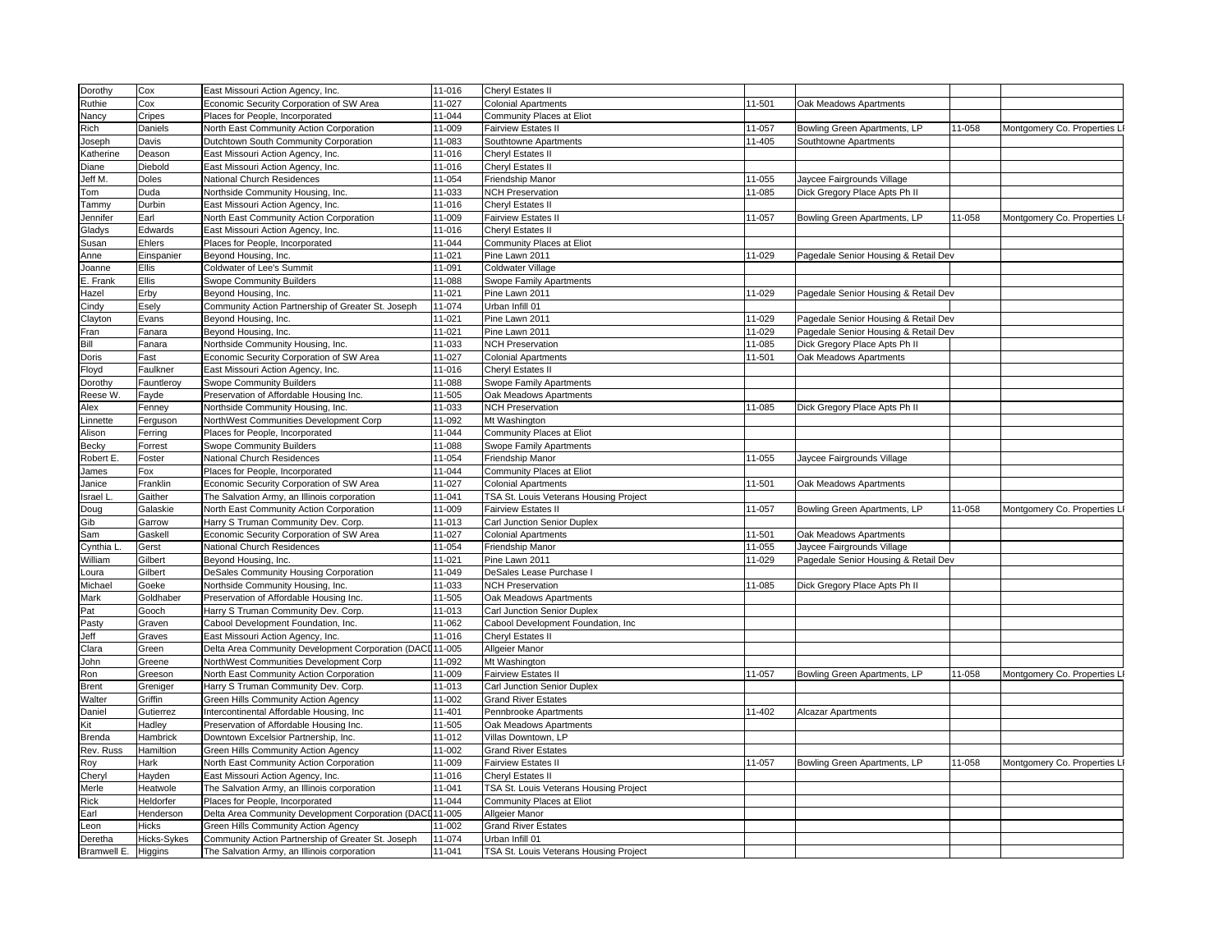| Dorothy     | Cox         | East Missouri Action Agency, Inc.                         | 11-016 | Cheryl Estates II                      |        |                                                             |        |                              |
|-------------|-------------|-----------------------------------------------------------|--------|----------------------------------------|--------|-------------------------------------------------------------|--------|------------------------------|
| Ruthie      | Cox         | Economic Security Corporation of SW Area                  | 11-027 | <b>Colonial Apartments</b>             | 11-501 | Oak Meadows Apartments                                      |        |                              |
| Nancy       | Cripes      | Places for People, Incorporated                           | 11-044 | <b>Community Places at Eliot</b>       |        |                                                             |        |                              |
| Rich        | Daniels     | North East Community Action Corporation                   | 11-009 | Fairview Estates II                    | 11-057 | Bowling Green Apartments, LP                                | 11-058 | Montgomery Co. Properties LI |
| Joseph      | Davis       | Dutchtown South Community Corporation                     | 11-083 | Southtowne Apartments                  | 11-405 | Southtowne Apartments                                       |        |                              |
| Katherine   | Deason      | East Missouri Action Agency, Inc.                         | 11-016 | Cheryl Estates II                      |        |                                                             |        |                              |
| Diane       | Diebold     | East Missouri Action Agency, Inc.                         | 11-016 | Cheryl Estates II                      |        |                                                             |        |                              |
| Jeff M.     | Doles       | National Church Residences                                | 11-054 | Friendship Manor                       | 11-055 |                                                             |        |                              |
|             |             |                                                           | 11-033 | <b>NCH Preservation</b>                | 11-085 | laycee Fairgrounds Village<br>Dick Gregory Place Apts Ph II |        |                              |
| Tom         | Duda        | Northside Community Housing, Inc.                         |        |                                        |        |                                                             |        |                              |
| Tammy       | Durbin      | East Missouri Action Agency, Inc.                         | 11-016 | Cheryl Estates II                      |        |                                                             |        |                              |
| Jennifer    | Earl        | North East Community Action Corporation                   | 11-009 | Fairview Estates II                    | 11-057 | Bowling Green Apartments, LP                                | 11-058 | Montgomery Co. Properties L  |
| Gladys      | Edwards     | East Missouri Action Agency, Inc.                         | 11-016 | Cheryl Estates II                      |        |                                                             |        |                              |
| Susan       | Ehlers      | Places for People, Incorporated                           | 11-044 | Community Places at Eliot              |        |                                                             |        |                              |
| Anne        | Einspanier  | Beyond Housing, Inc.                                      | 11-021 | Pine Lawn 2011                         | 11-029 | Pagedale Senior Housing & Retail Dev                        |        |                              |
| Joanne      | Ellis       | Coldwater of Lee's Summit                                 | 11-091 | Coldwater Village                      |        |                                                             |        |                              |
| E. Frank    | Ellis       | <b>Swope Community Builders</b>                           | 11-088 | Swope Family Apartments                |        |                                                             |        |                              |
| Hazel       | Erby        | Beyond Housing, Inc.                                      | 11-021 | Pine Lawn 2011                         | 11-029 | Pagedale Senior Housing & Retail Dev                        |        |                              |
| Cindy       | Esely       | Community Action Partnership of Greater St. Joseph        | 11-074 | Urban Infill 01                        |        |                                                             |        |                              |
| Clayton     | Evans       | Beyond Housing, Inc.                                      | 11-021 | Pine Lawn 2011                         | 11-029 | Pagedale Senior Housing & Retail Dev                        |        |                              |
| Fran        | Fanara      | Beyond Housing, Inc.                                      | 11-021 | Pine Lawn 2011                         | 11-029 | Pagedale Senior Housing & Retail Dev                        |        |                              |
| Bill        | Fanara      | Northside Community Housing, Inc.                         | 11-033 | <b>NCH Preservation</b>                | 11-085 | Dick Gregory Place Apts Ph II                               |        |                              |
| Doris       | Fast        | Economic Security Corporation of SW Area                  | 11-027 | <b>Colonial Apartments</b>             | 11-501 | Oak Meadows Apartments                                      |        |                              |
| Floyd       | Faulkner    | East Missouri Action Agency, Inc.                         | 11-016 | Cheryl Estates II                      |        |                                                             |        |                              |
| Dorothy     | Fauntleroy  | <b>Swope Community Builders</b>                           | 11-088 | Swope Family Apartments                |        |                                                             |        |                              |
| Reese W     | Fayde       | Preservation of Affordable Housing Inc.                   | 11-505 | Oak Meadows Apartments                 |        |                                                             |        |                              |
| Alex        | Fenney      | Northside Community Housing, Inc.                         | 11-033 | <b>NCH Preservation</b>                | 11-085 | Dick Gregory Place Apts Ph II                               |        |                              |
| _innette    | Ferguson    | NorthWest Communities Development Corp                    | 11-092 | Mt Washington                          |        |                                                             |        |                              |
| Alison      | Ferring     | Places for People, Incorporated                           | 11-044 | Community Places at Eliot              |        |                                                             |        |                              |
| Becky       | Forrest     | <b>Swope Community Builders</b>                           | 11-088 | Swope Family Apartments                |        |                                                             |        |                              |
| Robert E    | Foster      | National Church Residences                                | 11-054 | Friendship Manor                       | 11-055 | Jaycee Fairgrounds Village                                  |        |                              |
|             | Fox         | Places for People, Incorporated                           | 11-044 |                                        |        |                                                             |        |                              |
| James       |             |                                                           |        | Community Places at Eliot              |        |                                                             |        |                              |
| Janice      | Franklin    | Economic Security Corporation of SW Area                  | 11-027 | <b>Colonial Apartments</b>             | 11-501 | Oak Meadows Apartments                                      |        |                              |
| srael L     | Gaither     | The Salvation Army, an Illinois corporation               | 11-041 | TSA St. Louis Veterans Housing Project |        |                                                             |        |                              |
| Doug        | Galaskie    | North East Community Action Corporation                   | 11-009 | <b>Fairview Estates II</b>             | 11-057 | Bowling Green Apartments, LP                                | 11-058 | Montgomery Co. Properties L  |
| Gib         | Garrow      | Harry S Truman Community Dev. Corp.                       | 11-013 | <b>Carl Junction Senior Duplex</b>     |        |                                                             |        |                              |
| Sam         | Gaskell     | Economic Security Corporation of SW Area                  | 11-027 | <b>Colonial Apartments</b>             | 11-501 | Oak Meadows Apartments                                      |        |                              |
| Cynthia L   | Gerst       | National Church Residences                                | 11-054 | Friendship Manor                       | 11-055 | Jaycee Fairgrounds Village                                  |        |                              |
| William     | Gilbert     | Beyond Housing, Inc.                                      | 11-021 | Pine Lawn 2011                         | 11-029 | Pagedale Senior Housing & Retail Dev                        |        |                              |
| oura        | Gilbert     | DeSales Community Housing Corporation                     | 11-049 | DeSales Lease Purchase I               |        |                                                             |        |                              |
| Michael     | Goeke       | Northside Community Housing, Inc.                         | 11-033 | <b>NCH Preservation</b>                | 11-085 | Dick Gregory Place Apts Ph II                               |        |                              |
| Mark        | Goldhaber   | Preservation of Affordable Housing Inc.                   | 11-505 | Oak Meadows Apartments                 |        |                                                             |        |                              |
| Pat         | Gooch       | Harry S Truman Community Dev. Corp.                       | 11-013 | Carl Junction Senior Duplex            |        |                                                             |        |                              |
| Pasty       | Graven      | Cabool Development Foundation, Inc.                       | 11-062 | Cabool Development Foundation, Inc.    |        |                                                             |        |                              |
| Jeff        | Graves      | East Missouri Action Agency, Inc.                         | 11-016 | Cheryl Estates II                      |        |                                                             |        |                              |
| Clara       | Green       | Delta Area Community Development Corporation (DACI 11-005 |        | Allgeier Manor                         |        |                                                             |        |                              |
| John        | Greene      | NorthWest Communities Development Corp                    | 11-092 | Mt Washington                          |        |                                                             |        |                              |
| Ron         | Greeson     | North East Community Action Corporation                   | 11-009 | <b>Fairview Estates II</b>             | 11-057 | Bowling Green Apartments, LP                                | 11-058 | Montgomery Co. Properties L  |
| Brent       | Greniger    | Harry S Truman Community Dev. Corp.                       | 11-013 | Carl Junction Senior Duplex            |        |                                                             |        |                              |
| Walter      | Griffin     | Green Hills Community Action Agency                       | 11-002 | <b>Grand River Estates</b>             |        |                                                             |        |                              |
| Daniel      | Gutierrez   | Intercontinental Affordable Housing, Inc                  | 11-401 | Pennbrooke Apartments                  | 11-402 | Alcazar Apartments                                          |        |                              |
| Kit         | Hadley      | Preservation of Affordable Housing Inc.                   | 11-505 | Oak Meadows Apartments                 |        |                                                             |        |                              |
| Brenda      | Hambrick    | Downtown Excelsior Partnership, Inc.                      | 11-012 | Villas Downtown, LP                    |        |                                                             |        |                              |
| Rev. Russ   | Hamiltion   | Green Hills Community Action Agency                       | 11-002 | <b>Grand River Estates</b>             |        |                                                             |        |                              |
|             | Hark        | North East Community Action Corporation                   | 11-009 | <b>Fairview Estates II</b>             | 11-057 | Bowling Green Apartments, LP                                | 11-058 | Montgomery Co. Properties L  |
| Roy         |             |                                                           | 11-016 | Cheryl Estates II                      |        |                                                             |        |                              |
| Cheryl      | Hayden      | East Missouri Action Agency, Inc.                         |        |                                        |        |                                                             |        |                              |
| Merle       | Heatwole    | The Salvation Army, an Illinois corporation               | 11-041 | TSA St. Louis Veterans Housing Project |        |                                                             |        |                              |
| Rick        | Heldorfer   | Places for People, Incorporated                           | 11-044 | <b>Community Places at Eliot</b>       |        |                                                             |        |                              |
| Earl        | Henderson   | Delta Area Community Development Corporation (DACI 11-005 |        | Allgeier Manor                         |        |                                                             |        |                              |
| .eon        | Hicks       | Green Hills Community Action Agency                       | 11-002 | <b>Grand River Estates</b>             |        |                                                             |        |                              |
| Deretha     | Hicks-Sykes | Community Action Partnership of Greater St. Joseph        | 11-074 | Urban Infill 01                        |        |                                                             |        |                              |
| Bramwell E. | Higgins     | The Salvation Army, an Illinois corporation               | 11-041 | TSA St. Louis Veterans Housing Project |        |                                                             |        |                              |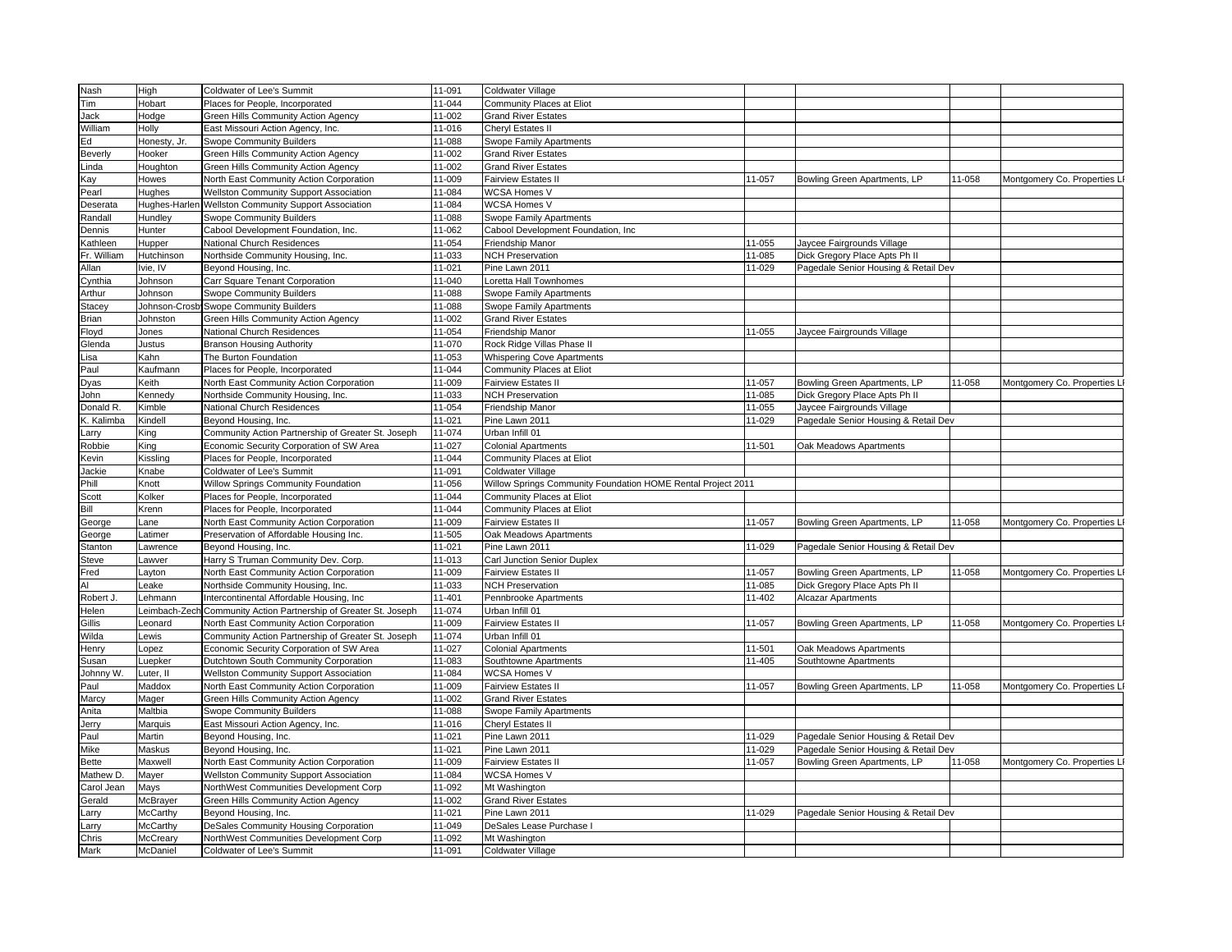| Nash            | High                                                                                                                                                                                                                     | Coldwater of Lee's Summit                                       | 11-091           | Coldwater Village                                            |                  |                                                 |        |                              |
|-----------------|--------------------------------------------------------------------------------------------------------------------------------------------------------------------------------------------------------------------------|-----------------------------------------------------------------|------------------|--------------------------------------------------------------|------------------|-------------------------------------------------|--------|------------------------------|
| Tim             | Hobart                                                                                                                                                                                                                   | Places for People, Incorporated                                 | 11-044           | Community Places at Eliot                                    |                  |                                                 |        |                              |
| Jack            | Hodge                                                                                                                                                                                                                    | Green Hills Community Action Agency                             | 11-002           | <b>Grand River Estates</b>                                   |                  |                                                 |        |                              |
| William         | Holly                                                                                                                                                                                                                    | East Missouri Action Agency, Inc.                               | 11-016           | Cheryl Estates II                                            |                  |                                                 |        |                              |
| Ed              | Honesty, Jr.                                                                                                                                                                                                             | <b>Swope Community Builders</b>                                 | 11-088           | Swope Family Apartments                                      |                  |                                                 |        |                              |
| Beverly         | Hooker                                                                                                                                                                                                                   | Green Hills Community Action Agency                             | 11-002           | <b>Grand River Estates</b>                                   |                  |                                                 |        |                              |
| .inda           | Houghton                                                                                                                                                                                                                 | Green Hills Community Action Agency                             | 11-002           | <b>Grand River Estates</b>                                   |                  |                                                 |        |                              |
| ۲ay             | Howes                                                                                                                                                                                                                    | North East Community Action Corporation                         | 11-009           | <b>Fairview Estates II</b>                                   | 11-057           | Bowling Green Apartments, LP                    | 11-058 | Montgomery Co. Properties LI |
| Pearl           | Hughes                                                                                                                                                                                                                   | <b>Wellston Community Support Association</b>                   | 11-084           | WCSA Homes V                                                 |                  |                                                 |        |                              |
| Deserata        |                                                                                                                                                                                                                          | Hughes-Harlen Wellston Community Support Association            | 11-084           | <b>WCSA Homes V</b>                                          |                  |                                                 |        |                              |
| Randall         | Hundley                                                                                                                                                                                                                  | Swope Community Builders                                        | 11-088           | Swope Family Apartments                                      |                  |                                                 |        |                              |
| Dennis          | Hunter                                                                                                                                                                                                                   | Cabool Development Foundation, Inc.                             | 11-062           | Cabool Development Foundation, Inc                           |                  |                                                 |        |                              |
| <b>Kathleen</b> | Hupper                                                                                                                                                                                                                   | National Church Residences                                      | 11-054           | Friendship Manor                                             | 11-055           | Jaycee Fairgrounds Village                      |        |                              |
| Fr. William     | Hutchinson                                                                                                                                                                                                               | Northside Community Housing, Inc.                               | 11-033           | <b>NCH Preservation</b>                                      | 11-085           | Dick Gregory Place Apts Ph II                   |        |                              |
| Allan           | vie, IV                                                                                                                                                                                                                  |                                                                 | 11-021           | Pine Lawn 2011                                               | 11-029           | Pagedale Senior Housing & Retail Dev            |        |                              |
|                 |                                                                                                                                                                                                                          | Beyond Housing, Inc.                                            |                  | oretta Hall Townhomes                                        |                  |                                                 |        |                              |
| Cynthia         | Johnson                                                                                                                                                                                                                  | Carr Square Tenant Corporation                                  | 11-040<br>11-088 |                                                              |                  |                                                 |        |                              |
| Arthur          | Johnson                                                                                                                                                                                                                  | <b>Swope Community Builders</b>                                 |                  | <b>Swope Family Apartments</b>                               |                  |                                                 |        |                              |
| <b>Stacey</b>   |                                                                                                                                                                                                                          | Johnson-Crosb Swope Community Builders                          | 11-088           | Swope Family Apartments                                      |                  |                                                 |        |                              |
| Brian           | Johnston                                                                                                                                                                                                                 | Green Hills Community Action Agency                             | 11-002           | <b>Grand River Estates</b>                                   |                  |                                                 |        |                              |
| Floyd           | Jones                                                                                                                                                                                                                    | National Church Residences                                      | 11-054           | Friendship Manor                                             | 11-055           | Jaycee Fairgrounds Village                      |        |                              |
| Glenda          | Justus                                                                                                                                                                                                                   | <b>Branson Housing Authority</b>                                | 11-070           | Rock Ridge Villas Phase II                                   |                  |                                                 |        |                              |
| .isa            | Kahn                                                                                                                                                                                                                     | The Burton Foundation                                           | 11-053           | <b>Whispering Cove Apartments</b>                            |                  |                                                 |        |                              |
| Paul            | Kaufmann                                                                                                                                                                                                                 | Places for People, Incorporated                                 | 11-044           | Community Places at Eliot                                    |                  |                                                 |        |                              |
| <b>Oyas</b>     | <eith< td=""><td>North East Community Action Corporation</td><td>11-009</td><td>Fairview Estates II</td><td>11-057</td><td>Bowling Green Apartments, LP</td><td>11-058</td><td>Montgomery Co. Properties LI</td></eith<> | North East Community Action Corporation                         | 11-009           | Fairview Estates II                                          | 11-057           | Bowling Green Apartments, LP                    | 11-058 | Montgomery Co. Properties LI |
| John            | <ennedy< td=""><td>Northside Community Housing, Inc.</td><td>11-033</td><td><b>NCH Preservation</b></td><td>11-085</td><td>Dick Gregory Place Apts Ph II</td><td></td><td></td></ennedy<>                                | Northside Community Housing, Inc.                               | 11-033           | <b>NCH Preservation</b>                                      | 11-085           | Dick Gregory Place Apts Ph II                   |        |                              |
| Donald R.       | <b>Kimble</b>                                                                                                                                                                                                            | National Church Residences                                      | 11-054           | Friendship Manor                                             | 11-055           | Jaycee Fairgrounds Village                      |        |                              |
| . Kalimba       | <b>Kindell</b>                                                                                                                                                                                                           | Beyond Housing, Inc.                                            | 11-021           | Pine Lawn 2011                                               | 11-029           | Pagedale Senior Housing & Retail Dev            |        |                              |
| arry            | (ing                                                                                                                                                                                                                     | Community Action Partnership of Greater St. Joseph              | 11-074           | Urban Infill 01                                              |                  |                                                 |        |                              |
| Robbie          | King                                                                                                                                                                                                                     | Economic Security Corporation of SW Area                        | 11-027           | <b>Colonial Apartments</b>                                   | 11-501           | Oak Meadows Apartments                          |        |                              |
| (evin           | Kissling                                                                                                                                                                                                                 | Places for People, Incorporated                                 | 11-044           | Community Places at Eliot                                    |                  |                                                 |        |                              |
| Jackie          | Knabe                                                                                                                                                                                                                    | Coldwater of Lee's Summit                                       | 11-091           | Coldwater Village                                            |                  |                                                 |        |                              |
| Phill           | Knott                                                                                                                                                                                                                    | Willow Springs Community Foundation                             | 11-056           | Willow Springs Community Foundation HOME Rental Project 2011 |                  |                                                 |        |                              |
| Scott           | <b>Kolker</b>                                                                                                                                                                                                            | Places for People, Incorporated                                 | 11-044           | Community Places at Eliot                                    |                  |                                                 |        |                              |
| Bill            | Krenn                                                                                                                                                                                                                    | Places for People, Incorporated                                 | 11-044           | Community Places at Eliot                                    |                  |                                                 |        |                              |
| George          | .ane                                                                                                                                                                                                                     | North East Community Action Corporation                         | 11-009           | Fairview Estates II                                          | 11-057           | Bowling Green Apartments, LP                    | 11-058 | Montgomery Co. Properties LI |
| George          | .atimer                                                                                                                                                                                                                  | Preservation of Affordable Housing Inc.                         | 11-505           | Oak Meadows Apartments                                       |                  |                                                 |        |                              |
| Stanton         | awrence                                                                                                                                                                                                                  | Beyond Housing, Inc.                                            | 11-021           | Pine Lawn 2011                                               | 11-029           | Pagedale Senior Housing & Retail Dev            |        |                              |
| Steve           | awver                                                                                                                                                                                                                    | Harry S Truman Community Dev. Corp.                             | 11-013           | Carl Junction Senior Duplex                                  |                  |                                                 |        |                              |
| Fred            | ayton                                                                                                                                                                                                                    | North East Community Action Corporation                         | 11-009           | <b>Fairview Estates II</b>                                   | 11-057           | Bowling Green Apartments, LP                    | 11-058 | Montgomery Co. Properties LI |
| ١I              | eake                                                                                                                                                                                                                     | Northside Community Housing, Inc.                               | 11-033           | <b>NCH Preservation</b>                                      | 11-085           | Dick Gregory Place Apts Ph II                   |        |                              |
| Robert J.       | ∟ehmann                                                                                                                                                                                                                  | Intercontinental Affordable Housing, Inc                        | 11-401           | Pennbrooke Apartments                                        | 11-402           | Alcazar Apartments                              |        |                              |
| Helen           |                                                                                                                                                                                                                          | eimbach-Zech Community Action Partnership of Greater St. Joseph | 11-074           | Urban Infill 01                                              |                  |                                                 |        |                              |
| Gillis          | _eonard                                                                                                                                                                                                                  | North East Community Action Corporation                         | 11-009           | <b>Fairview Estates II</b>                                   | 11-057           | Bowling Green Apartments, LP                    | 11-058 |                              |
|                 |                                                                                                                                                                                                                          |                                                                 | 11-074           |                                                              |                  |                                                 |        | Montgomery Co. Properties L  |
| Nilda           | ewis                                                                                                                                                                                                                     | Community Action Partnership of Greater St. Joseph              |                  | Urban Infill 01                                              |                  |                                                 |        |                              |
| Henry           | opez.                                                                                                                                                                                                                    | Economic Security Corporation of SW Area                        | 11-027<br>11-083 | <b>Colonial Apartments</b>                                   | 11-501<br>11-405 | Oak Meadows Apartments<br>Southtowne Apartments |        |                              |
| 3usan           | _uepker                                                                                                                                                                                                                  | Dutchtown South Community Corporation                           |                  | Southtowne Apartments                                        |                  |                                                 |        |                              |
| lohnny W.       | uter, II                                                                                                                                                                                                                 | <b>Wellston Community Support Association</b>                   | 11-084           | WCSA Homes V                                                 |                  |                                                 |        |                              |
| Paul            | Maddox                                                                                                                                                                                                                   | North East Community Action Corporation                         | 11-009           | <b>Fairview Estates II</b>                                   | 11-057           | Bowling Green Apartments, LP                    | 11-058 | Montgomery Co. Properties LI |
| Marcy           | Mager                                                                                                                                                                                                                    | Green Hills Community Action Agency                             | 11-002           | <b>Grand River Estates</b>                                   |                  |                                                 |        |                              |
| Anita           | Maltbia                                                                                                                                                                                                                  | Swope Community Builders                                        | 11-088           | Swope Family Apartments                                      |                  |                                                 |        |                              |
| Jerry           | Marquis                                                                                                                                                                                                                  | East Missouri Action Agency, Inc.                               | 11-016           | Cheryl Estates II                                            |                  |                                                 |        |                              |
| Paul            | Martin                                                                                                                                                                                                                   | Beyond Housing, Inc.                                            | 11-021           | Pine Lawn 2011                                               | 11-029           | Pagedale Senior Housing & Retail Dev            |        |                              |
| Mike            | Maskus                                                                                                                                                                                                                   | Beyond Housing, Inc.                                            | 11-021           | Pine Lawn 2011                                               | 11-029           | Pagedale Senior Housing & Retail Dev            |        |                              |
| Bette           | Maxwell                                                                                                                                                                                                                  | North East Community Action Corporation                         | 11-009           | <b>Fairview Estates II</b>                                   | 11-057           | Bowling Green Apartments, LP                    | 11-058 | Montgomery Co. Properties L  |
| Mathew D.       | Mayer                                                                                                                                                                                                                    | <b>Wellston Community Support Association</b>                   | 11-084           | <b>WCSA Homes V</b>                                          |                  |                                                 |        |                              |
| Carol Jean      | Mays                                                                                                                                                                                                                     | NorthWest Communities Development Corp                          | 11-092           | Mt Washington                                                |                  |                                                 |        |                              |
| <b>Gerald</b>   | McBrayer                                                                                                                                                                                                                 | Green Hills Community Action Agency                             | 11-002           | <b>Grand River Estates</b>                                   |                  |                                                 |        |                              |
| .arry           | McCarthy                                                                                                                                                                                                                 | Beyond Housing, Inc.                                            | 11-021           | Pine Lawn 2011                                               | 11-029           | Pagedale Senior Housing & Retail Dev            |        |                              |
| arry            | McCarthy                                                                                                                                                                                                                 | DeSales Community Housing Corporation                           | 11-049           | DeSales Lease Purchase I                                     |                  |                                                 |        |                              |
| Chris           | McCreary                                                                                                                                                                                                                 | NorthWest Communities Development Corp                          | 11-092           | Mt Washington                                                |                  |                                                 |        |                              |
| Mark            | McDaniel                                                                                                                                                                                                                 | Coldwater of Lee's Summit                                       | 11-091           | <b>Coldwater Village</b>                                     |                  |                                                 |        |                              |
|                 |                                                                                                                                                                                                                          |                                                                 |                  |                                                              |                  |                                                 |        |                              |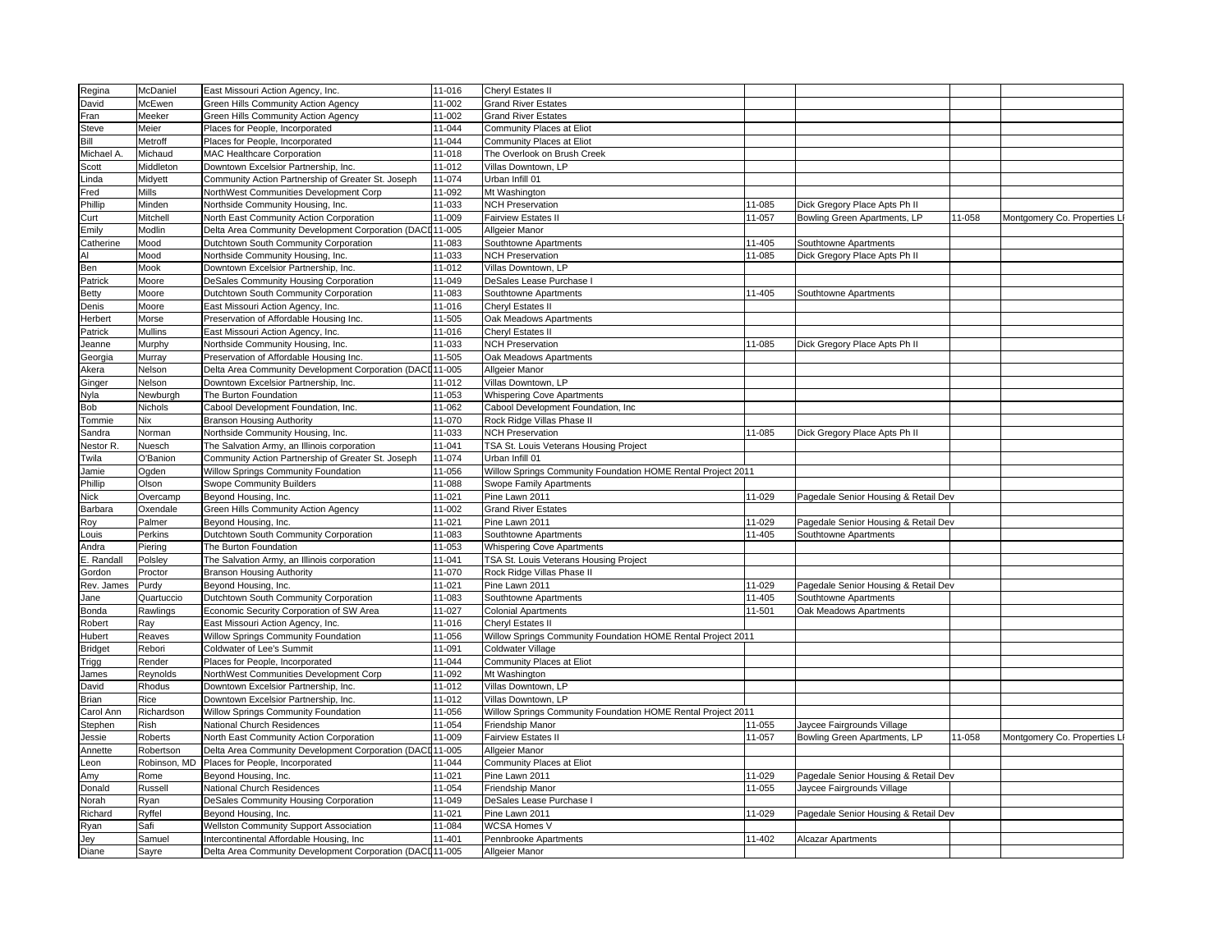| Regina          | McDaniel             | East Missouri Action Agency, Inc.                                     | 11-016           | Cheryl Estates II                                            |        |                                      |        |                              |
|-----------------|----------------------|-----------------------------------------------------------------------|------------------|--------------------------------------------------------------|--------|--------------------------------------|--------|------------------------------|
| David           | McEwen               | Green Hills Community Action Agency                                   | 11-002           | <b>Grand River Estates</b>                                   |        |                                      |        |                              |
| Fran            | Meeker               | Green Hills Community Action Agency                                   | 11-002           | <b>Grand River Estates</b>                                   |        |                                      |        |                              |
| <b>Steve</b>    | Meier                | Places for People, Incorporated                                       | 11-044           | Community Places at Eliot                                    |        |                                      |        |                              |
| Bill            | Metroff              | Places for People, Incorporated                                       | 11-044           | Community Places at Eliot                                    |        |                                      |        |                              |
| Michael A       | Michaud              | MAC Healthcare Corporation                                            | 11-018           | The Overlook on Brush Creek                                  |        |                                      |        |                              |
| Scott           | Middleton            | Downtown Excelsior Partnership, Inc.                                  | 11-012           | Villas Downtown, LP                                          |        |                                      |        |                              |
| Linda           | Midyett              | Community Action Partnership of Greater St. Joseph                    | 11-074           | Urban Infill 01                                              |        |                                      |        |                              |
| Fred            | <b>Mills</b>         | NorthWest Communities Development Corp                                | 11-092           | Mt Washington                                                |        |                                      |        |                              |
| Phillip         | Minden               | Northside Community Housing, Inc.                                     | 11-033           | <b>NCH Preservation</b>                                      | 11-085 | Dick Gregory Place Apts Ph II        |        |                              |
| Curt            | Mitchell             | North East Community Action Corporation                               | 11-009           | <b>Fairview Estates II</b>                                   | 11-057 | Bowling Green Apartments, LP         | 11-058 | Montgomery Co. Properties LI |
| Emily           | Modlin               | Delta Area Community Development Corporation (DACI                    | 11-005           | Allgeier Manor                                               |        |                                      |        |                              |
| Catherine       | Mood                 | Dutchtown South Community Corporation                                 | 11-083           | Southtowne Apartments                                        | 11-405 | Southtowne Apartments                |        |                              |
| AI              | Mood                 | Northside Community Housing, Inc.                                     | 11-033           | <b>NCH Preservation</b>                                      | 11-085 | Dick Gregory Place Apts Ph II        |        |                              |
| Ben             | Mook                 | Downtown Excelsior Partnership, Inc.                                  | 11-012           | Villas Downtown, LP                                          |        |                                      |        |                              |
| Patrick         | Moore                | DeSales Community Housing Corporation                                 | 11-049           | DeSales Lease Purchase I                                     |        |                                      |        |                              |
| Betty           | Moore                | Dutchtown South Community Corporation                                 | 11-083           | Southtowne Apartments                                        | 11-405 | Southtowne Apartments                |        |                              |
| Denis           | Moore                | East Missouri Action Agency, Inc.                                     | 11-016           | Cheryl Estates II                                            |        |                                      |        |                              |
| Herbert         | Morse                | Preservation of Affordable Housing Inc.                               | 11-505           | Oak Meadows Apartments                                       |        |                                      |        |                              |
| Patrick         | Mullins              | East Missouri Action Agency, Inc.                                     | 11-016           | Cheryl Estates II                                            |        |                                      |        |                              |
| Jeanne          | Murphy               | Northside Community Housing, Inc.                                     | 11-033           | <b>NCH Preservation</b>                                      | 11-085 | Dick Gregory Place Apts Ph II        |        |                              |
| Georgia         | Murray               | Preservation of Affordable Housing Inc.                               | 11-505           | Oak Meadows Apartments                                       |        |                                      |        |                              |
| Akera           | Nelson               | Delta Area Community Development Corporation (DACI 11-005             |                  | Allgeier Manor                                               |        |                                      |        |                              |
| Ginger          | Nelson               | Downtown Excelsior Partnership, Inc.                                  | 11-012           | Villas Downtown, LP                                          |        |                                      |        |                              |
| Nyla            | Newburgh             | The Burton Foundation                                                 | 11-053           | <b>Whispering Cove Apartments</b>                            |        |                                      |        |                              |
| Bob             | Nichols              | Cabool Development Foundation, Inc.                                   | 11-062           | Cabool Development Foundation, Inc                           |        |                                      |        |                              |
| Tommie          | Nix                  | <b>Branson Housing Authority</b>                                      | 11-070           | Rock Ridge Villas Phase II                                   |        |                                      |        |                              |
| Sandra          | Norman               | Northside Community Housing, Inc.                                     | 11-033           | <b>NCH Preservation</b>                                      | 11-085 | Dick Gregory Place Apts Ph II        |        |                              |
| Nestor R        | Nuesch               | The Salvation Army, an Illinois corporation                           | 11-041           | TSA St. Louis Veterans Housing Project                       |        |                                      |        |                              |
| Twila           | O'Banion             | Community Action Partnership of Greater St. Joseph                    | 11-074           | Urban Infill 01                                              |        |                                      |        |                              |
| Jamie           | Ogden                | Willow Springs Community Foundation                                   | 11-056           | Willow Springs Community Foundation HOME Rental Project 2011 |        |                                      |        |                              |
| Phillip         | Olson                | <b>Swope Community Builders</b>                                       | 11-088           | Swope Family Apartments                                      |        |                                      |        |                              |
| Nick            | Overcamp             | Beyond Housing, Inc.                                                  | 11-021           | Pine Lawn 2011                                               | 11-029 | Pagedale Senior Housing & Retail Dev |        |                              |
| Barbara         | Oxendale             | Green Hills Community Action Agency                                   | 11-002           | <b>Grand River Estates</b>                                   |        |                                      |        |                              |
| Roy             | Palmer               | Beyond Housing, Inc.                                                  | 11-021           | Pine Lawn 2011                                               | 11-029 | Pagedale Senior Housing & Retail Dev |        |                              |
| _ouis           | Perkins              | Dutchtown South Community Corporation                                 | 11-083           | Southtowne Apartments                                        | 11-405 | Southtowne Apartments                |        |                              |
| Andra           | Piering              | The Burton Foundation                                                 | 11-053           | Whispering Cove Apartments                                   |        |                                      |        |                              |
| E. Randal       | Polsley              | The Salvation Army, an Illinois corporation                           | 11-041           | TSA St. Louis Veterans Housing Project                       |        |                                      |        |                              |
| Gordon          | Proctor              | <b>Branson Housing Authority</b>                                      | 11-070           | Rock Ridge Villas Phase II                                   |        |                                      |        |                              |
| Rev. James      | Purdy                | Beyond Housing, Inc.                                                  | 11-021           | Pine Lawn 2011                                               | 11-029 | Pagedale Senior Housing & Retail Dev |        |                              |
| Jane            | Quartuccio           | Dutchtown South Community Corporation                                 | 11-083           | Southtowne Apartments                                        | 11-405 | Southtowne Apartments                |        |                              |
| Bonda           | Rawlings             | Economic Security Corporation of SW Area                              | 11-027           | <b>Colonial Apartments</b>                                   | 11-501 | Oak Meadows Apartments               |        |                              |
| Robert          | Ray                  | East Missouri Action Agency, Inc.                                     | 11-016           | Cheryl Estates II                                            |        |                                      |        |                              |
| Hubert          | Reaves               | Willow Springs Community Foundation                                   | 11-056           | Willow Springs Community Foundation HOME Rental Project 2011 |        |                                      |        |                              |
| <b>Bridget</b>  | Rebori               | Coldwater of Lee's Summit                                             | 11-091           | Coldwater Village                                            |        |                                      |        |                              |
| Trigg           | Render               | Places for People, Incorporated                                       | 11-044           | Community Places at Eliot                                    |        |                                      |        |                              |
| James           | Reynolds             | NorthWest Communities Development Corp                                | 11-092           | Mt Washington                                                |        |                                      |        |                              |
| David           | Rhodus               | Downtown Excelsior Partnership, Inc.                                  | 11-012           | Villas Downtown, LP                                          |        |                                      |        |                              |
| Brian           | Rice                 | Downtown Excelsior Partnership, Inc.                                  | 11-012           | Villas Downtown, LP                                          |        |                                      |        |                              |
| Carol Ann       | Richardson           | Willow Springs Community Foundation                                   | 11-056           | Willow Springs Community Foundation HOME Rental Project 2011 |        |                                      |        |                              |
| Stephen         | Rish                 | National Church Residences                                            | 11-054           | Friendship Manor                                             | 11-055 | Jaycee Fairgrounds Village           |        |                              |
| Jessie          | Roberts              | North East Community Action Corporation                               | 11-009           | Fairview Estates II                                          | 11-057 | Bowling Green Apartments, LP         | 11-058 | Montgomery Co. Properties LI |
| Annette         | Robertson            | Delta Area Community Development Corporation (DACI 11-005             |                  | Allgeier Manor                                               |        |                                      |        |                              |
| _eon            | Robinson, MD<br>Rome | Places for People, Incorporated<br>Beyond Housing, Inc.               | 11-044<br>11-021 | Community Places at Eliot<br>Pine Lawn 2011                  | 11-029 | Pagedale Senior Housing & Retail Dev |        |                              |
| Amy<br>Donald   | Russell              | National Church Residences                                            | 11-054           | Friendship Manor                                             | 11-055 | Jaycee Fairgrounds Village           |        |                              |
|                 |                      |                                                                       | 11-049           |                                                              |        |                                      |        |                              |
| Norah           | Ryan                 | DeSales Community Housing Corporation                                 |                  | DeSales Lease Purchase I                                     |        |                                      |        |                              |
| Richard<br>Ryan | Ryffel<br>Safi       | Beyond Housing, Inc.<br><b>Wellston Community Support Association</b> | 11-021<br>11-084 | Pine Lawn 2011<br><b>WCSA Homes V</b>                        | 11-029 | Pagedale Senior Housing & Retail Dev |        |                              |
|                 | Samuel               | Intercontinental Affordable Housing, Inc                              | 11-401           | Pennbrooke Apartments                                        | 11-402 | Alcazar Apartments                   |        |                              |
| Jey<br>Diane    | Sayre                | Delta Area Community Development Corporation (DACI 11-005             |                  | Allgeier Manor                                               |        |                                      |        |                              |
|                 |                      |                                                                       |                  |                                                              |        |                                      |        |                              |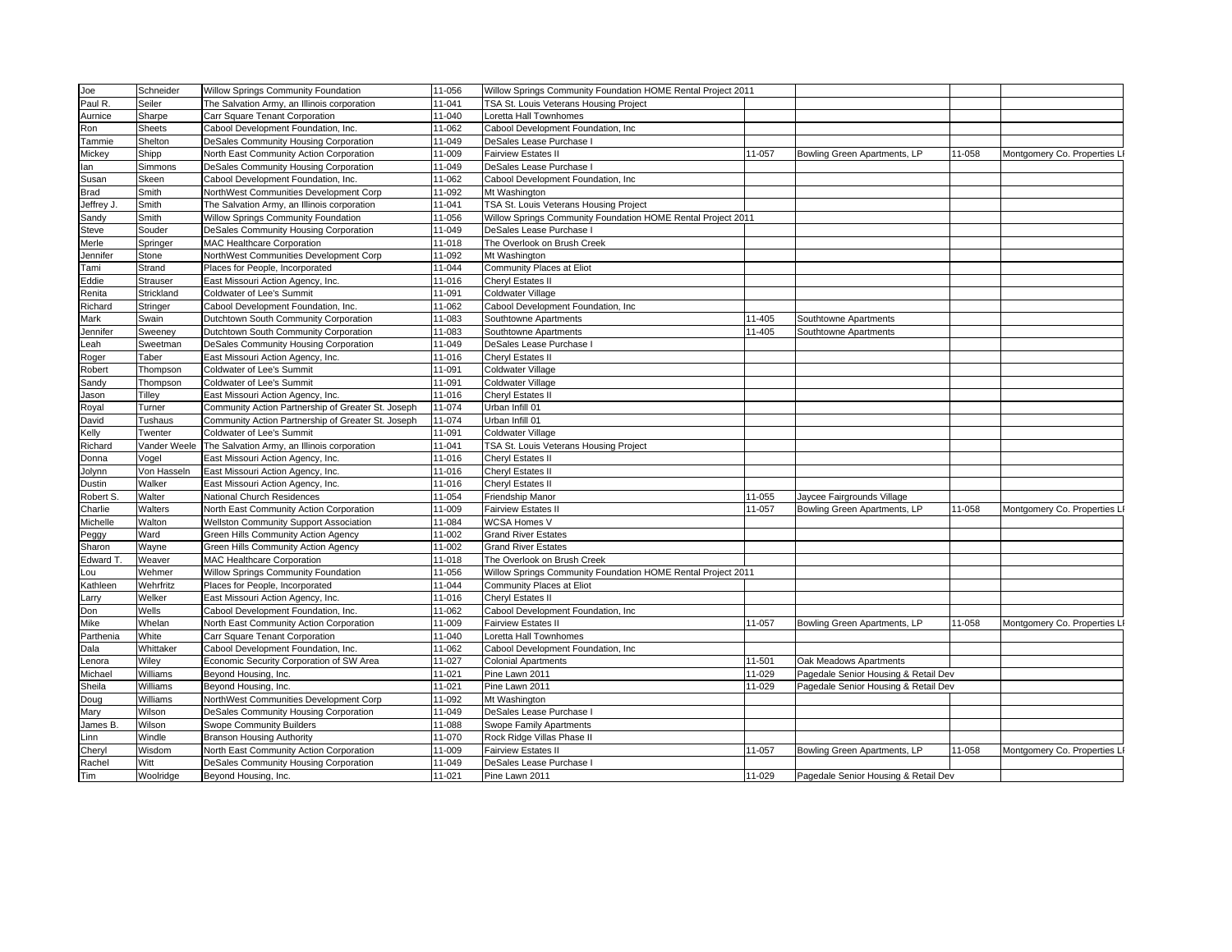| Joe                                                                                                                                                  | Schneider       | Willow Springs Community Foundation                | 11-056 | Willow Springs Community Foundation HOME Rental Project 2011 |        |                                      |        |                              |
|------------------------------------------------------------------------------------------------------------------------------------------------------|-----------------|----------------------------------------------------|--------|--------------------------------------------------------------|--------|--------------------------------------|--------|------------------------------|
| Paul R.                                                                                                                                              | Seiler          | The Salvation Army, an Illinois corporation        | 11-041 | TSA St. Louis Veterans Housing Project                       |        |                                      |        |                              |
| Aurnice                                                                                                                                              | Sharpe          | Carr Square Tenant Corporation                     | 11-040 | oretta Hall Townhomes                                        |        |                                      |        |                              |
| Ron                                                                                                                                                  | <b>Sheets</b>   | Cabool Development Foundation, Inc.                | 11-062 | Cabool Development Foundation, Inc.                          |        |                                      |        |                              |
| Tammie                                                                                                                                               | Shelton         | DeSales Community Housing Corporation              | 11-049 | DeSales Lease Purchase I                                     |        |                                      |        |                              |
| Mickey                                                                                                                                               | Shipp           | North East Community Action Corporation            | 11-009 | <b>Fairview Estates II</b>                                   | 11-057 | Bowling Green Apartments, LP         | 11-058 | Montgomery Co. Properties L  |
| an                                                                                                                                                   | Simmons         | DeSales Community Housing Corporation              | 11-049 | DeSales Lease Purchase I                                     |        |                                      |        |                              |
| Susan                                                                                                                                                | Skeen           | Cabool Development Foundation, Inc.                | 11-062 | Cabool Development Foundation, Inc                           |        |                                      |        |                              |
| Brad                                                                                                                                                 | Smith           | NorthWest Communities Development Corp             | 11-092 | Mt Washington                                                |        |                                      |        |                              |
| Jeffrey J.                                                                                                                                           | Smith           | The Salvation Army, an Illinois corporation        | 11-041 | TSA St. Louis Veterans Housing Project                       |        |                                      |        |                              |
| Sandy                                                                                                                                                | Smith           | Willow Springs Community Foundation                | 11-056 | Willow Springs Community Foundation HOME Rental Project 2011 |        |                                      |        |                              |
| Steve                                                                                                                                                | Souder          | DeSales Community Housing Corporation              | 11-049 | DeSales Lease Purchase I                                     |        |                                      |        |                              |
| Merle                                                                                                                                                | Springer        | MAC Healthcare Corporation                         | 11-018 | The Overlook on Brush Creek                                  |        |                                      |        |                              |
| lennifer                                                                                                                                             | Stone           | NorthWest Communities Development Corp             | 11-092 | Mt Washington                                                |        |                                      |        |                              |
| Tami                                                                                                                                                 | Strand          | Places for People, Incorporated                    | 11-044 | Community Places at Eliot                                    |        |                                      |        |                              |
| Eddie                                                                                                                                                | <b>Strauser</b> | East Missouri Action Agency, Inc.                  | 11-016 | Cheryl Estates II                                            |        |                                      |        |                              |
| Renita                                                                                                                                               | Strickland      | Coldwater of Lee's Summit                          | 11-091 | Coldwater Village                                            |        |                                      |        |                              |
| Richard                                                                                                                                              | Stringer        | Cabool Development Foundation, Inc.                | 11-062 | Cabool Development Foundation, Inc                           |        |                                      |        |                              |
| Mark                                                                                                                                                 | Swain           | Dutchtown South Community Corporation              | 11-083 | Southtowne Apartments                                        | 11-405 | Southtowne Apartments                |        |                              |
| Jennifer                                                                                                                                             | Sweeney         | Dutchtown South Community Corporation              | 11-083 | Southtowne Apartments                                        | 11-405 | Southtowne Apartments                |        |                              |
| .eah                                                                                                                                                 | Sweetman        | DeSales Community Housing Corporation              | 11-049 | DeSales Lease Purchase I                                     |        |                                      |        |                              |
| Roger                                                                                                                                                | Taber           | East Missouri Action Agency, Inc.                  | 11-016 | Cheryl Estates II                                            |        |                                      |        |                              |
| Robert                                                                                                                                               | Thompson        | Coldwater of Lee's Summit                          | 11-091 | Coldwater Village                                            |        |                                      |        |                              |
| Sandy                                                                                                                                                | Thompson        | Coldwater of Lee's Summit                          | 11-091 | Coldwater Village                                            |        |                                      |        |                              |
| Jason                                                                                                                                                | Tilley          | East Missouri Action Agency, Inc.                  | 11-016 | Cheryl Estates II                                            |        |                                      |        |                              |
| Royal                                                                                                                                                | Turner          | Community Action Partnership of Greater St. Joseph | 11-074 | Urban Infill 01                                              |        |                                      |        |                              |
| David                                                                                                                                                | Tushaus         | Community Action Partnership of Greater St. Joseph | 11-074 | Urban Infill 01                                              |        |                                      |        |                              |
| <elly< td=""><td>Twenter</td><td>Coldwater of Lee's Summit</td><td>11-091</td><td>Coldwater Village</td><td></td><td></td><td></td><td></td></elly<> | Twenter         | Coldwater of Lee's Summit                          | 11-091 | Coldwater Village                                            |        |                                      |        |                              |
| Richard                                                                                                                                              | Vander Weele    | The Salvation Army, an Illinois corporation        | 11-041 | TSA St. Louis Veterans Housing Project                       |        |                                      |        |                              |
| Donna                                                                                                                                                | Vogel           | East Missouri Action Agency, Inc.                  | 11-016 | Cheryl Estates II                                            |        |                                      |        |                              |
| Jolynn                                                                                                                                               | Von Hasseln     | East Missouri Action Agency, Inc.                  | 11-016 | Cheryl Estates II                                            |        |                                      |        |                              |
| Dustin                                                                                                                                               | Walker          | East Missouri Action Agency, Inc.                  | 11-016 | Cheryl Estates II                                            |        |                                      |        |                              |
| Robert S.                                                                                                                                            | Walter          | National Church Residences                         | 11-054 | Friendship Manor                                             | 11-055 | Jaycee Fairgrounds Village           |        |                              |
| Charlie                                                                                                                                              | Walters         | North East Community Action Corporation            | 11-009 | <b>Fairview Estates II</b>                                   | 11-057 | Bowling Green Apartments, LP         | 11-058 | Montgomery Co. Properties L  |
| Michelle                                                                                                                                             | Walton          | <b>Wellston Community Support Association</b>      | 11-084 | <b>WCSA Homes V</b>                                          |        |                                      |        |                              |
| Peggy                                                                                                                                                | Ward            | Green Hills Community Action Agency                | 11-002 | <b>Grand River Estates</b>                                   |        |                                      |        |                              |
| Sharon                                                                                                                                               | Wayne           | Green Hills Community Action Agency                | 11-002 | <b>Grand River Estates</b>                                   |        |                                      |        |                              |
| Edward T                                                                                                                                             | Weaver          | MAC Healthcare Corporation                         | 11-018 | The Overlook on Brush Creek                                  |        |                                      |        |                              |
| .ou                                                                                                                                                  | Wehmer          | Willow Springs Community Foundation                | 11-056 | Willow Springs Community Foundation HOME Rental Project 2011 |        |                                      |        |                              |
| Kathleen                                                                                                                                             | Wehrfritz       | Places for People, Incorporated                    | 11-044 | Community Places at Eliot                                    |        |                                      |        |                              |
| arry                                                                                                                                                 | Welker          | East Missouri Action Agency, Inc.                  | 11-016 | Cheryl Estates II                                            |        |                                      |        |                              |
| Don                                                                                                                                                  | Wells           | Cabool Development Foundation, Inc.                | 11-062 | Cabool Development Foundation, Inc                           |        |                                      |        |                              |
| Mike                                                                                                                                                 | Whelan          | North East Community Action Corporation            | 11-009 | <b>Fairview Estates II</b>                                   | 11-057 | Bowling Green Apartments, LP         | 11-058 | Montgomery Co. Properties L  |
| Parthenia                                                                                                                                            | White           | Carr Square Tenant Corporation                     | 11-040 | Loretta Hall Townhomes                                       |        |                                      |        |                              |
| Dala                                                                                                                                                 | Whittaker       | Cabool Development Foundation, Inc.                | 11-062 | Cabool Development Foundation, Inc.                          |        |                                      |        |                              |
| enora                                                                                                                                                | Wiley           | Economic Security Corporation of SW Area           | 11-027 | <b>Colonial Apartments</b>                                   | 11-501 | Oak Meadows Apartments               |        |                              |
| Michael                                                                                                                                              | Williams        | Beyond Housing, Inc.                               | 11-021 | Pine Lawn 2011                                               | 11-029 | Pagedale Senior Housing & Retail Dev |        |                              |
| Sheila                                                                                                                                               | Williams        | Beyond Housing, Inc.                               | 11-021 | Pine Lawn 2011                                               | 11-029 | Pagedale Senior Housing & Retail Dev |        |                              |
| Doug                                                                                                                                                 | Williams        | NorthWest Communities Development Corp             | 11-092 | Mt Washington                                                |        |                                      |        |                              |
| Mary                                                                                                                                                 | Wilson          | DeSales Community Housing Corporation              | 11-049 | DeSales Lease Purchase I                                     |        |                                      |        |                              |
| James B.                                                                                                                                             | Wilson          | Swope Community Builders                           | 11-088 | <b>Swope Family Apartments</b>                               |        |                                      |        |                              |
| .inn                                                                                                                                                 | Windle          | <b>Branson Housing Authority</b>                   | 11-070 | Rock Ridge Villas Phase II                                   |        |                                      |        |                              |
| Cheryl                                                                                                                                               | Wisdom          | North East Community Action Corporation            | 11-009 | <b>Fairview Estates II</b>                                   | 11-057 | Bowling Green Apartments, LP         | 11-058 | Montgomery Co. Properties LI |
| Rachel                                                                                                                                               | Witt            | DeSales Community Housing Corporation              | 11-049 | DeSales Lease Purchase I                                     |        |                                      |        |                              |
| Tim                                                                                                                                                  | Woolridge       | Beyond Housing, Inc.                               | 11-021 | Pine Lawn 2011                                               | 11-029 | Pagedale Senior Housing & Retail Dev |        |                              |
|                                                                                                                                                      |                 |                                                    |        |                                                              |        |                                      |        |                              |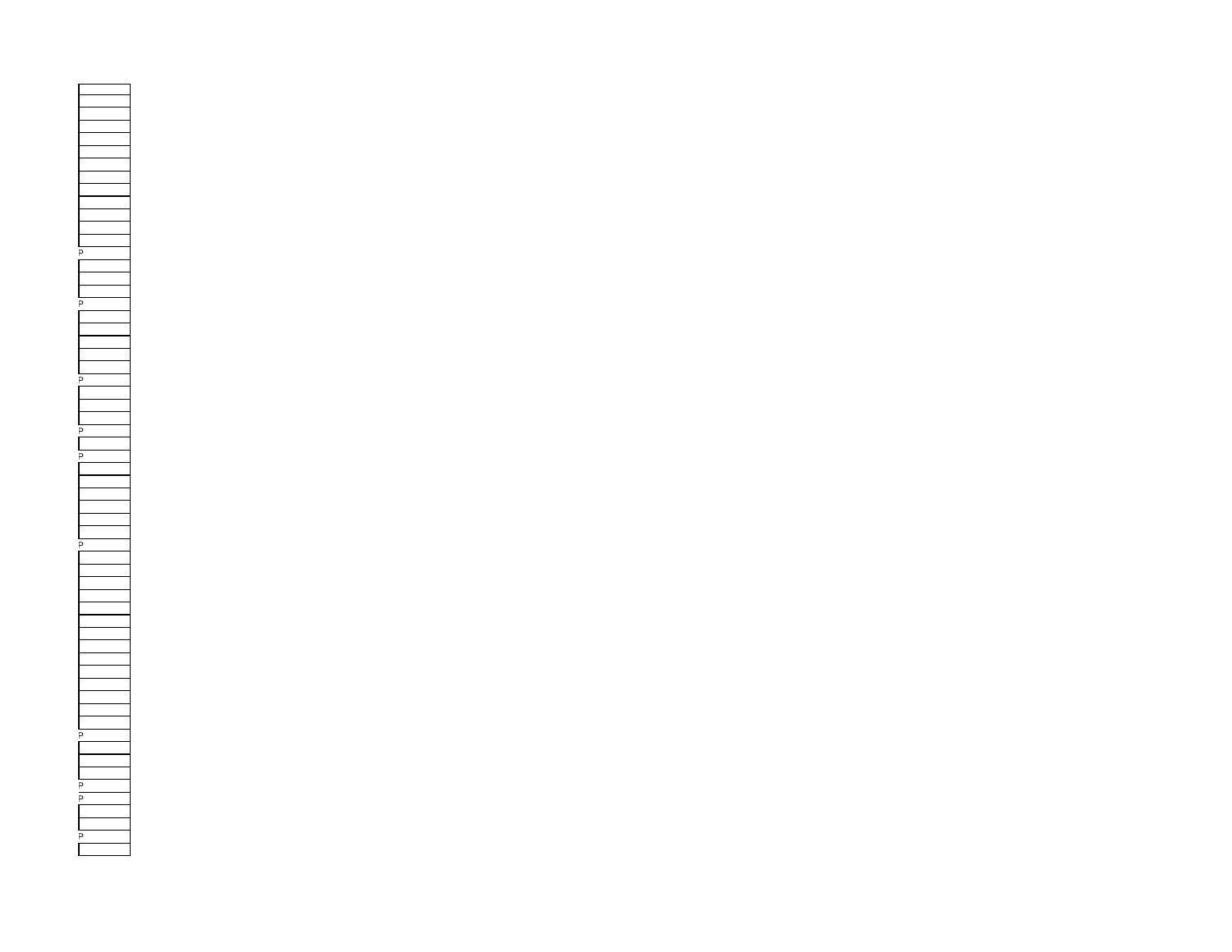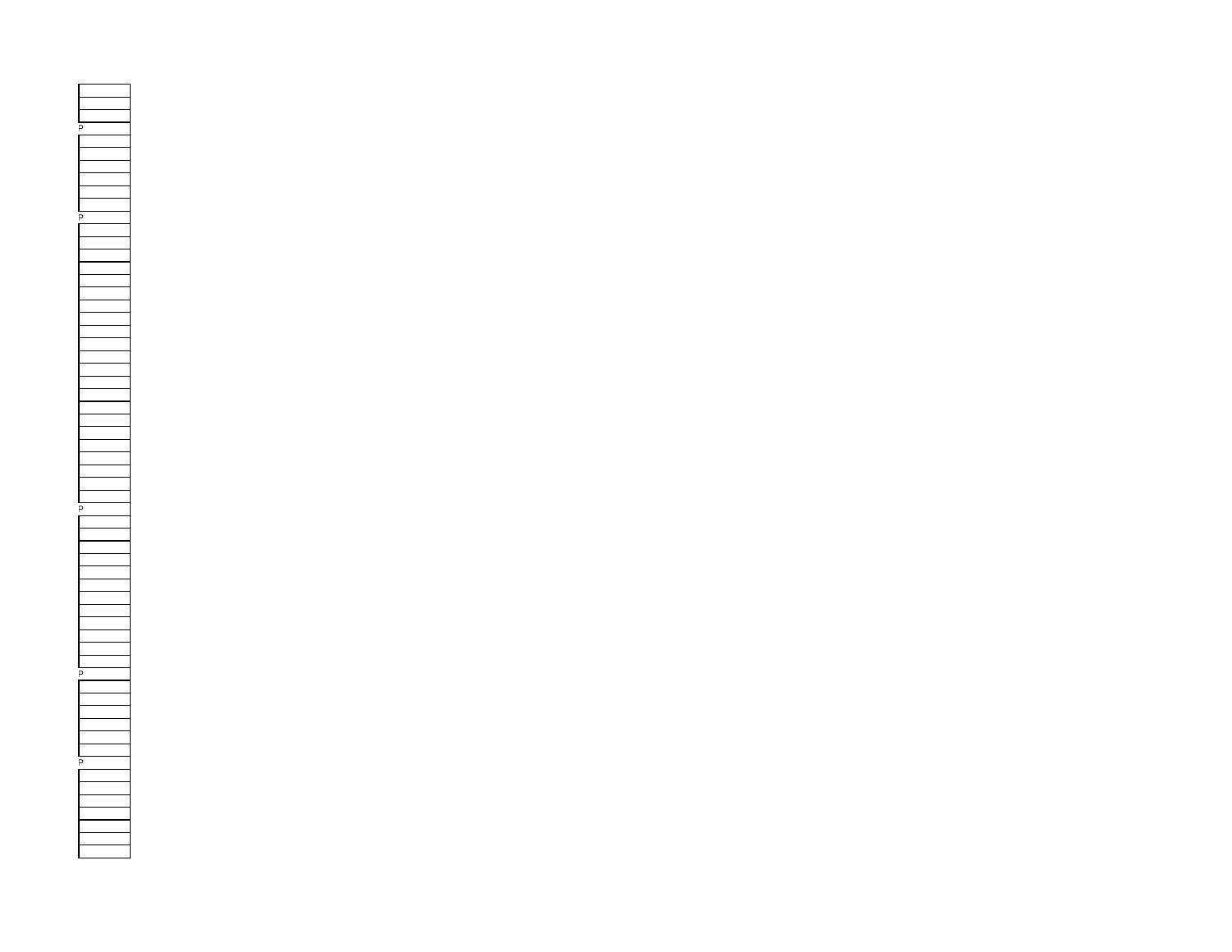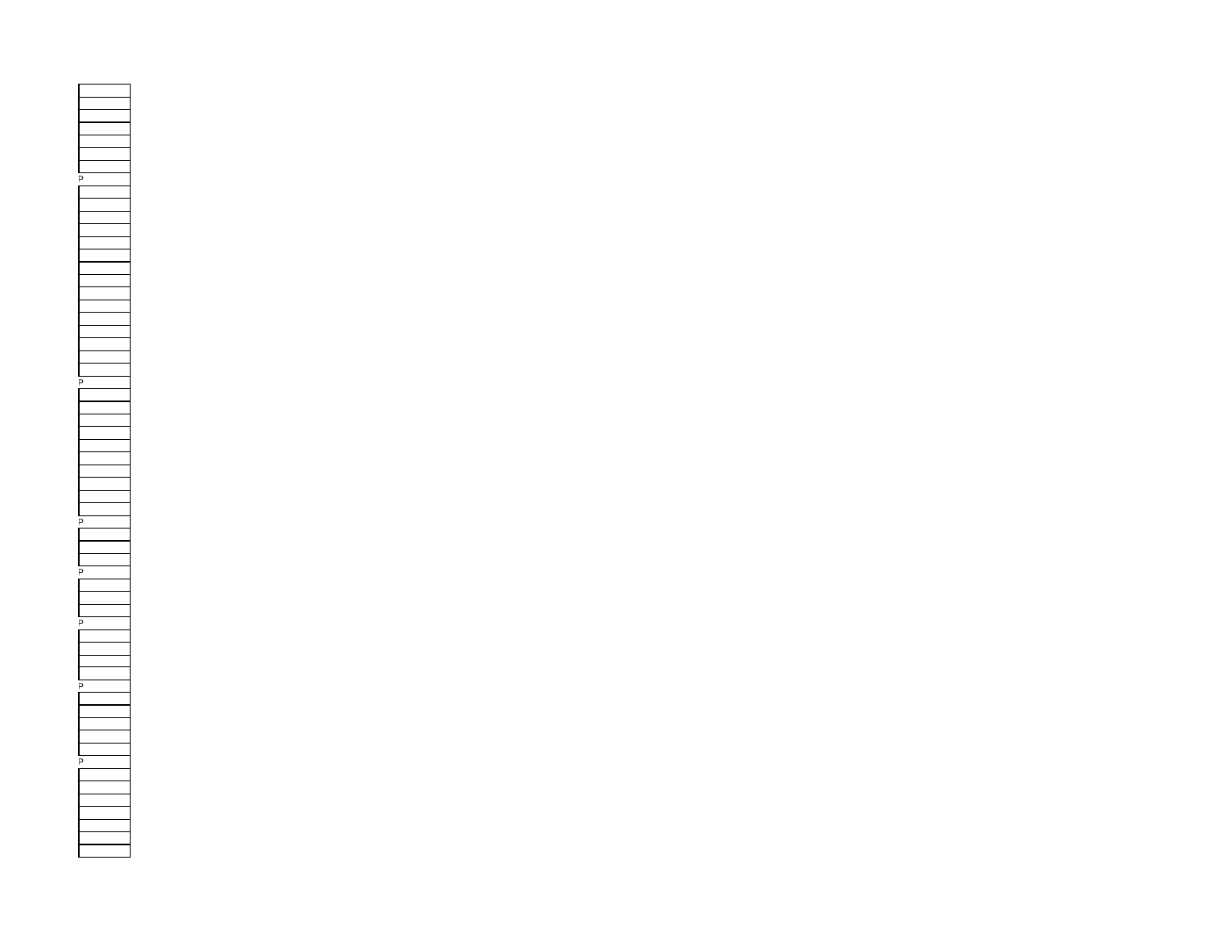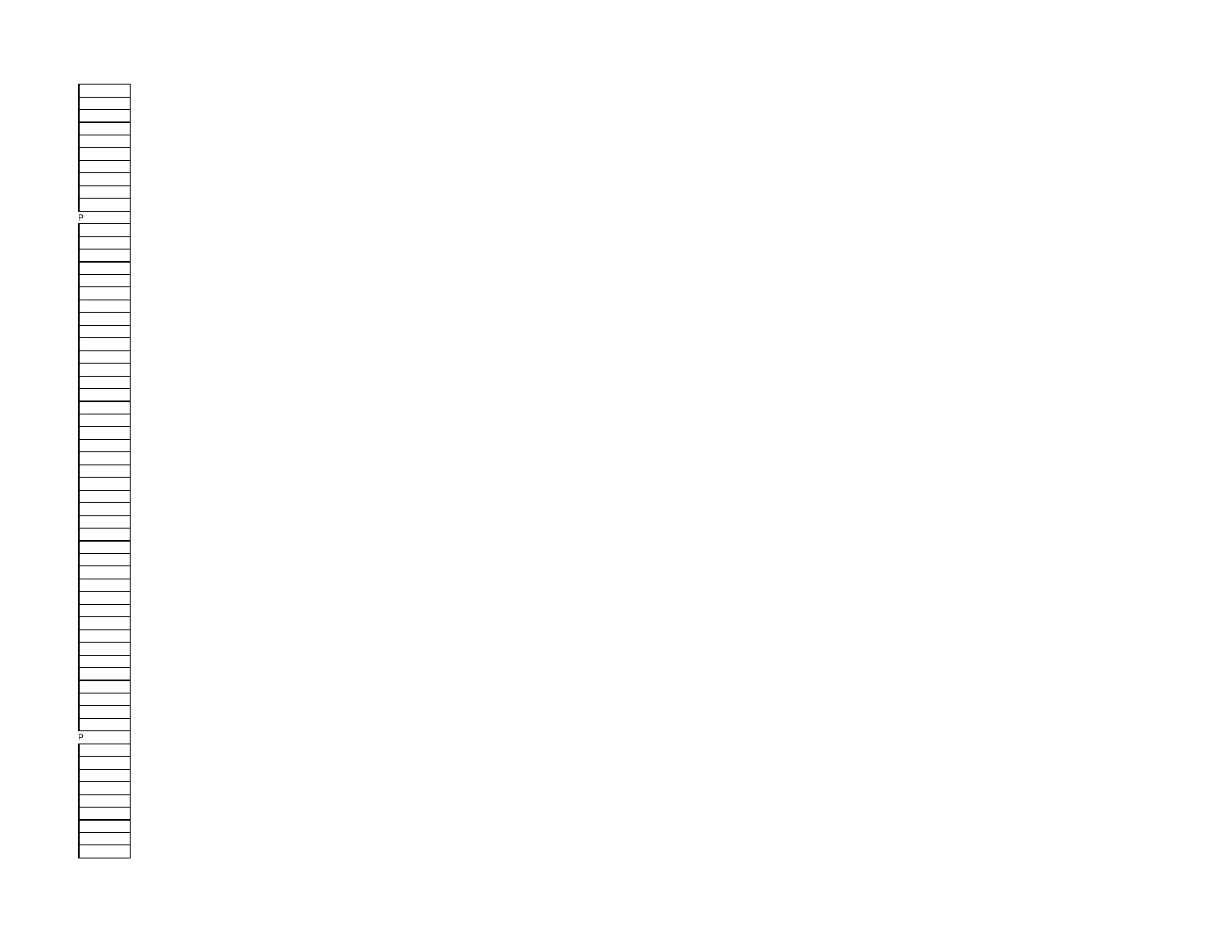